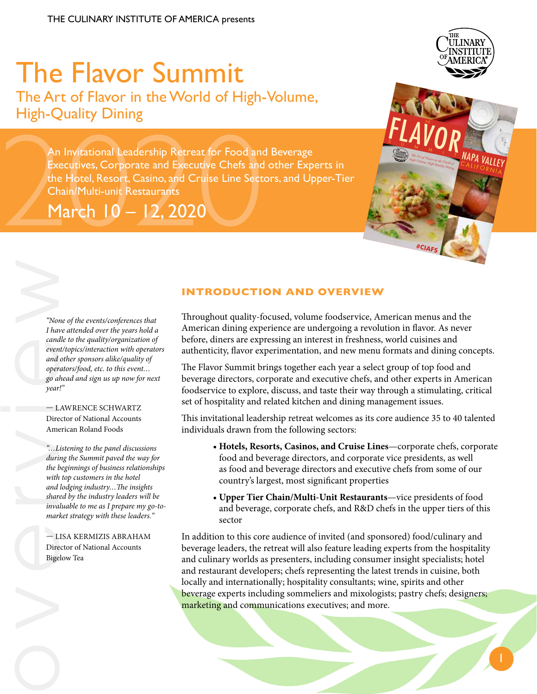# The Flavor Summit The Art of Flavor in the World of High-Volume, High-Quality Dining

An Invitational Leadership Retreat for Food and Beverage<br>
Executives, Corporate and Executive Chefs and other Expertition Hotel, Resort, Casino, and Cruise Line Sectors, and Up<br>
Chain/Multi-unit Restaurants<br>
March 10 - 12, Executives, Corporate and Executive Chefs and other Experts in the Hotel, Resort, Casino, and Cruise Line Sectors, and Upper-Tier Chain/Multi-unit Restaurants

March 10 – 12, 2020



*"None of the events/conferences that I have attended over the years hold a candle to the quality/organization of event/topics/interaction with operators and other sponsors alike/quality of operators/food, etc. to this event… go ahead and sign us up now for next year!"*

#### — LAWRENCE SCHWARTZ Director of National Accounts American Roland Foods

"Not I have can<br>
even<br>
even<br>
and oper<br>
go ai<br>
year.<br>
— L<br>
Dire<br>
Ame<br>
sint dand<br>
shart with<br>
and<br>
shart was<br>
muy mart<br>
— L<br>
Dire<br>
Bige<br>
Bige *"…Listening to the panel discussions during the Summit paved the way for the beginnings of business relationships with top customers in the hotel and lodging industry…The insights shared by the industry leaders will be invaluable to me as I prepare my go-tomarket strategy with these leaders."*

— LISA KERMIZIS ABRAHAM Director of National Accounts Bigelow Tea

### **INTRODUCTION AND OVERVIEW**

Throughout quality-focused, volume foodservice, American menus and the American dining experience are undergoing a revolution in flavor. As never before, diners are expressing an interest in freshness, world cuisines and authenticity, flavor experimentation, and new menu formats and dining concepts.

The Flavor Summit brings together each year a select group of top food and beverage directors, corporate and executive chefs, and other experts in American foodservice to explore, discuss, and taste their way through a stimulating, critical set of hospitality and related kitchen and dining management issues.

This invitational leadership retreat welcomes as its core audience 35 to 40 talented individuals drawn from the following sectors:

- **Hotels, Resorts, Casinos, and Cruise Lines**—corporate chefs, corporate food and beverage directors, and corporate vice presidents, as well as food and beverage directors and executive chefs from some of our country's largest, most significant properties
- **Upper Tier Chain/Multi-Unit Restaurants**—vice presidents of food and beverage, corporate chefs, and R&D chefs in the upper tiers of this sector

In addition to this core audience of invited (and sponsored) food/culinary and beverage leaders, the retreat will also feature leading experts from the hospitality and culinary worlds as presenters, including consumer insight specialists; hotel and restaurant developers; chefs representing the latest trends in cuisine, both locally and internationally; hospitality consultants; wine, spirits and other beverage experts including sommeliers and mixologists; pastry chefs; designers; marketing and communications executives; and more.